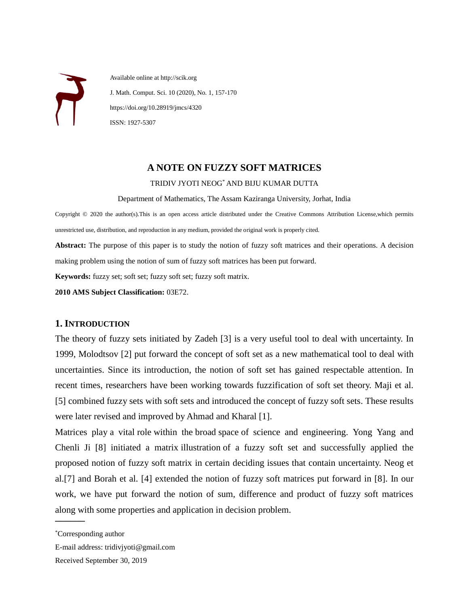

 Available online at http://scik.org J. Math. Comput. Sci. 10 (2020), No. 1, 157-170 https://doi.org/10.28919/jmcs/4320 ISSN: 1927-5307

# **A NOTE ON FUZZY SOFT MATRICES**

#### TRIDIV JYOTI NEOG\* AND BIJU KUMAR DUTTA

Department of Mathematics, The Assam Kaziranga University, Jorhat, India

Copyright © 2020 the author(s).This is an open access article distributed under the Creative Commons Attribution License,which permits unrestricted use, distribution, and reproduction in any medium, provided the original work is properly cited.

**Abstract:** The purpose of this paper is to study the notion of fuzzy soft matrices and their operations. A decision making problem using the notion of sum of fuzzy soft matrices has been put forward.

**Keywords:** fuzzy set; soft set; fuzzy soft set; fuzzy soft matrix.

**2010 AMS Subject Classification:** 03E72.

# **1. INTRODUCTION**

The theory of fuzzy sets initiated by Zadeh [3] is a very useful tool to deal with uncertainty. In 1999, Molodtsov [2] put forward the concept of soft set as a new mathematical tool to deal with uncertainties. Since its introduction, the notion of soft set has gained respectable attention. In recent times, researchers have been working towards fuzzification of soft set theory. Maji et al. [5] combined fuzzy sets with soft sets and introduced the concept of fuzzy soft sets. These results were later revised and improved by Ahmad and Kharal [1].

Matrices play a vital role within the broad space of science and engineering. Yong Yang and Chenli Ji [8] initiated a matrix illustration of a fuzzy soft set and successfully applied the proposed notion of fuzzy soft matrix in certain deciding issues that contain uncertainty. Neog et al.[7] and Borah et al. [4] extended the notion of fuzzy soft matrices put forward in [8]. In our work, we have put forward the notion of sum, difference and product of fuzzy soft matrices along with some properties and application in decision problem.

 $\sim$ 

<sup>\*</sup>Corresponding author

E-mail address: tridivjyoti@gmail.com

Received September 30, 2019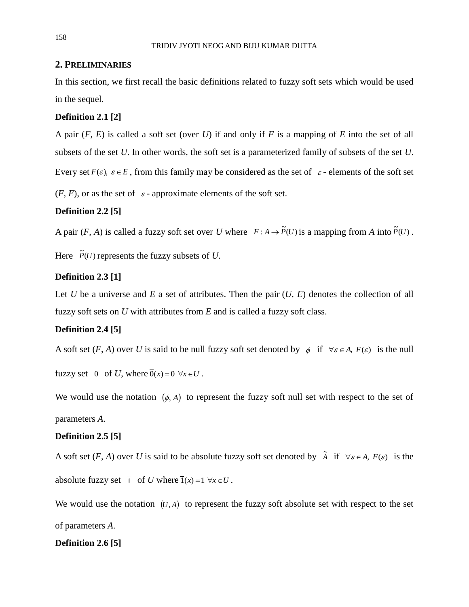# **2. PRELIMINARIES**

In this section, we first recall the basic definitions related to fuzzy soft sets which would be used in the sequel.

# **Definition 2.1 [2]**

A pair (*F*, *E*) is called a soft set (over *U*) if and only if *F* is a mapping of *E* into the set of all subsets of the set *U*. In other words, the soft set is a parameterized family of subsets of the set *U*. Every set  $F(\varepsilon)$ ,  $\varepsilon \in E$ , from this family may be considered as the set of  $\varepsilon$ -elements of the soft set

 $(F, E)$ , or as the set of  $\varepsilon$  - approximate elements of the soft set.

# **Definition 2.2 [5]**

A pair  $(F, A)$  is called a fuzzy soft set over *U* where  $F : A \to \tilde{P}(U)$  is a mapping from *A* into  $\tilde{P}(U)$ .

Here  $\tilde{P}(U)$  represents the fuzzy subsets of *U*.

# **Definition 2.3 [1]**

Let *U* be a universe and *E* a set of attributes. Then the pair  $(U, E)$  denotes the collection of all fuzzy soft sets on *U* with attributes from *E* and is called a fuzzy soft class.

# **Definition 2.4 [5]**

A soft set  $(F, A)$  over U is said to be null fuzzy soft set denoted by  $\phi$  if  $\forall \varepsilon \in A$ ,  $F(\varepsilon)$  is the null

fuzzy set  $\overline{0}$  of *U*, where  $\overline{0}(x) = 0 \ \forall x \in U$ .

We would use the notation  $(\phi, A)$  to represent the fuzzy soft null set with respect to the set of parameters *A*.

# **Definition 2.5 [5]**

A soft set  $(F, A)$  over *U* is said to be absolute fuzzy soft set denoted by  $\tilde{A}$  if  $\forall \varepsilon \in A$ ,  $F(\varepsilon)$  is the absolute fuzzy set  $\overline{1}$  of *U* where  $\overline{1}(x) = 1 \ \forall x \in U$ .

We would use the notation  $(U, A)$  to represent the fuzzy soft absolute set with respect to the set of parameters *A*.

# **Definition 2.6 [5]**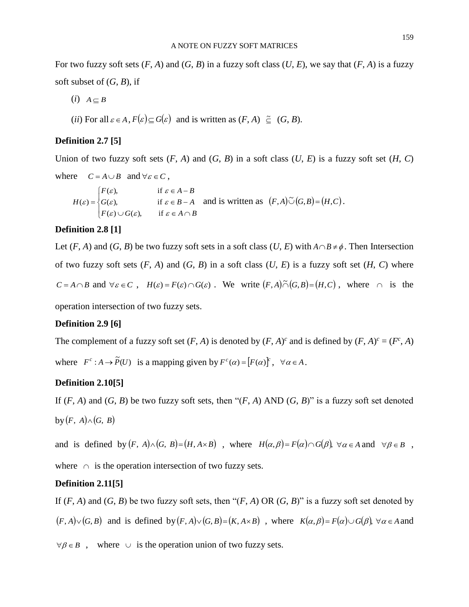For two fuzzy soft sets  $(F, A)$  and  $(G, B)$  in a fuzzy soft class  $(U, E)$ , we say that  $(F, A)$  is a fuzzy soft subset of  $(G, B)$ , if

 $(i)$   $A \subseteq B$ 

(*ii*) For all  $\varepsilon \in A$ ,  $F(\varepsilon) \subseteq G(\varepsilon)$  and is written as  $(F, A) \subseteq (G, B)$ .

# **Definition 2.7 [5]**

Union of two fuzzy soft sets  $(F, A)$  and  $(G, B)$  in a soft class  $(U, E)$  is a fuzzy soft set  $(H, C)$ 

where  $C = A \cup B$  and  $\forall \varepsilon \in C$ ,  $\Big| F(\varepsilon) \cup G(\varepsilon), \quad \text{if } \varepsilon$  $H(\varepsilon) = \begin{cases} G(\varepsilon), & \text{if } \end{cases}$  $\left| F(\varepsilon), \right|$  if  $F(\varepsilon) \cup G(\varepsilon)$ , if  $\varepsilon \in A \cap B$  $G(\varepsilon)$ , if  $\varepsilon \in B - A$  and is written as  $(F, A) \tilde{\cup} (G, B) = (H, C)$ .  $F(\varepsilon)$ , if  $\varepsilon \in A - B$ 

# **Definition 2.8 [1]**

Let  $(F, A)$  and  $(G, B)$  be two fuzzy soft sets in a soft class  $(U, E)$  with  $A \cap B \neq \emptyset$ . Then Intersection of two fuzzy soft sets  $(F, A)$  and  $(G, B)$  in a soft class  $(U, E)$  is a fuzzy soft set  $(H, C)$  where  $C = A \cap B$  and  $\forall \varepsilon \in C$ ,  $H(\varepsilon) = F(\varepsilon) \cap G(\varepsilon)$ . We write  $(F, A) \tilde{\cap} (G, B) = (H, C)$ , where  $\cap$  is the

operation intersection of two fuzzy sets.

# **Definition 2.9 [6]**

The complement of a fuzzy soft set  $(F, A)$  is denoted by  $(F, A)^c$  and is defined by  $(F, A)^c = (F^c, A)$ where  $F^c : A \to \tilde{P}(U)$  is a mapping given by  $F^c(\alpha) = [F(\alpha)]^c$ ,  $\forall \alpha \in A$ .

# **Definition 2.10[5]**

If  $(F, A)$  and  $(G, B)$  be two fuzzy soft sets, then " $(F, A)$  AND  $(G, B)$ " is a fuzzy soft set denoted by  $(F, A) \wedge (G, B)$ 

and is defined by  $(F, A) \wedge (G, B) = (H, A \times B)$ , where  $H(\alpha, \beta) = F(\alpha) \cap G(\beta)$ ,  $\forall \alpha \in A$  and  $\forall \beta \in B$ , where  $\cap$  is the operation intersection of two fuzzy sets.

#### **Definition 2.11[5]**

If  $(F, A)$  and  $(G, B)$  be two fuzzy soft sets, then " $(F, A)$  OR  $(G, B)$ " is a fuzzy soft set denoted by  $(F, A) \vee (G, B)$  and is defined by  $(F, A) \vee (G, B) = (K, A \times B)$ , where  $K(\alpha, \beta) = F(\alpha) \cup G(\beta)$ ,  $\forall \alpha \in A$  and

 $\forall \beta \in B$ , where  $\cup$  is the operation union of two fuzzy sets.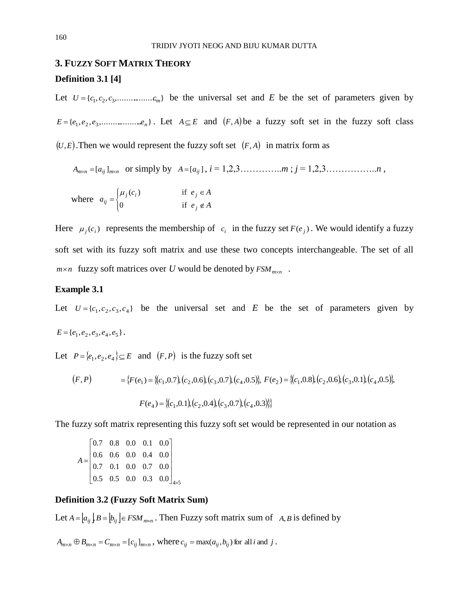# **3. FUZZY SOFT MATRIX THEORY Definition 3.1 [4]**

Let  $U = \{c_1, c_2, c_3, \dots, c_m\}$  be the universal set and *E* be the set of parameters given by  $E = \{e_1, e_2, e_3, \dots \dots \dots \dots e_n\}$ . Let  $A \subseteq E$  and  $(F, A)$  be a fuzzy soft set in the fuzzy soft class  $(U,E)$ . Then we would represent the fuzzy soft set  $(F,A)$  in matrix form as

$$
A_{m \times n} = [a_{ij}]_{m \times n} \text{ or simply by } A = [a_{ij}], i = 1, 2, 3, \dots, m; j = 1, 2, 3, \dots, n,
$$

where 
$$
a_{ij} = \begin{cases} \mu_j(c_i) & \text{if } e_j \in A \\ 0 & \text{if } e_j \notin A \end{cases}
$$

Here  $\mu_j(c_i)$  represents the membership of  $c_i$  in the fuzzy set  $F(e_j)$ . We would identify a fuzzy soft set with its fuzzy soft matrix and use these two concepts interchangeable. The set of all *m*<sup>*x*</sup> n fuzzy soft matrices over *U* would be denoted by  $FSM_{m \times n}$ .

### **Example 3.1**

Let  $U = \{c_1, c_2, c_3, c_4\}$  be the universal set and *E* be the set of parameters given by  $E = \{e_1, e_2, e_3, e_4, e_5\}.$ 

Let  $P = \{e_1, e_2, e_4\} \subseteq E$  and  $(F, P)$  is the fuzzy soft set

$$
(F, P) = \{F(e_1) = \{(c_1, 0.7), (c_2, 0.6), (c_3, 0.7), (c_4, 0.5)\}, F(e_2) = \{(c_1, 0.8), (c_2, 0.6), (c_3, 0.1), (c_4, 0.5)\}, F(e_4) = \{(c_1, 0.1), (c_2, 0.4), (c_3, 0.7), (c_4, 0.3)\}\}
$$

The fuzzy soft matrix representing this fuzzy soft set would be represented in our notation as

$$
A = \begin{bmatrix} 0.7 & 0.8 & 0.0 & 0.1 & 0.0 \\ 0.6 & 0.6 & 0.0 & 0.4 & 0.0 \\ 0.7 & 0.1 & 0.0 & 0.7 & 0.0 \\ 0.5 & 0.5 & 0.0 & 0.3 & 0.0 \end{bmatrix}_{4 \times 5}
$$

# **Definition 3.2 (Fuzzy Soft Matrix Sum)**

Let  $A = [a_{ij}]$   $B = [b_{ij}] \in FSM$  <sub>*m*×n</sub>. Then Fuzzy soft matrix sum of  $A, B$  is defined by

 $A_{m\times n} \oplus B_{m\times n} = C_{m\times n} = [c_{ij}]_{m\times n}$ , where  $c_{ij} = \max(a_{ij}, b_{ij})$  for all *i* and *j*.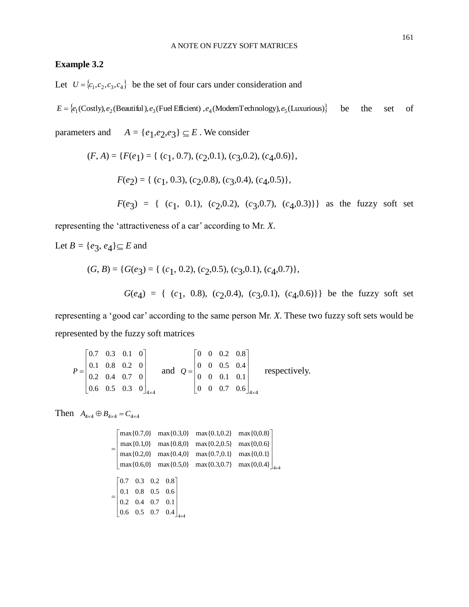# **Example 3.2**

Let  $U = \{c_1, c_2, c_3, c_4\}$  be the set of four cars under consideration and

$$
E = \{e_1(\text{Costly}), e_2(\text{Beautiful}), e_3(\text{Fuel Efficient}), e_4(\text{ModernTechnology}), e_5(\text{Luxurious})\}
$$
 be the set of

parameters and  $A = \{e_1, e_2, e_3\} \subseteq E$ . We consider

$$
(F, A) = \{F(e_1) = \{ (c_1, 0.7), (c_2, 0.1), (c_3, 0.2), (c_4, 0.6) \},
$$
  

$$
F(e_2) = \{ (c_1, 0.3), (c_2, 0.8), (c_3, 0.4), (c_4, 0.5) \},
$$
  

$$
F(e_3) = \{ (c_1, 0.1), (c_2, 0.2), (c_3, 0.7), (c_4, 0.3) \} \}
$$
 as the fuzzy soft set

representing the 'attractiveness of a car' according to Mr. *X*.

Let  $B = \{e_3, e_4\} \subseteq E$  and

$$
(G, B) = \{ G(e_3) = \{ (c_1, 0.2), (c_2, 0.5), (c_3, 0.1), (c_4, 0.7) \},
$$
  

$$
G(e_4) = \{ (c_1, 0.8), (c_2, 0.4), (c_3, 0.1), (c_4, 0.6) \} \}
$$
 be the fuzzy soft set

representing a 'good car' according to the same person Mr. *X*. These two fuzzy soft sets would be represented by the fuzzy soft matrices

$$
P = \begin{bmatrix} 0.7 & 0.3 & 0.1 & 0 \\ 0.1 & 0.8 & 0.2 & 0 \\ 0.2 & 0.4 & 0.7 & 0 \\ 0.6 & 0.5 & 0.3 & 0 \end{bmatrix}_{4 \times 4}
$$
 and  $Q = \begin{bmatrix} 0 & 0 & 0.2 & 0.8 \\ 0 & 0 & 0.5 & 0.4 \\ 0 & 0 & 0.1 & 0.1 \\ 0 & 0 & 0.7 & 0.6 \end{bmatrix}_{4 \times 4}$  respectively.

Then  $A_{4 \times 4} \oplus B_{4 \times 4} = C_{4 \times 4}$ 

$$
= \begin{bmatrix} \max\{0.7,0\} & \max\{0.3,0\} & \max\{0.1,0.2\} & \max\{0.0,8\} \\ \max\{0.1,0\} & \max\{0.8,0\} & \max\{0.2,0.5\} & \max\{0,0.6\} \\ \max\{0.2,0\} & \max\{0.4,0\} & \max\{0.7,0.1\} & \max\{0,0.1\} \\ \max\{0.6,0\} & \max\{0.5,0\} & \max\{0.3,0.7\} & \max\{0,0.4\} \end{bmatrix}_{4\times4}
$$

$$
= \begin{bmatrix} 0.7 & 0.3 & 0.2 & 0.8 \\ 0.1 & 0.8 & 0.5 & 0.6 \\ 0.2 & 0.4 & 0.7 & 0.1 \\ 0.6 & 0.5 & 0.7 & 0.4 \end{bmatrix}_{4\times4}
$$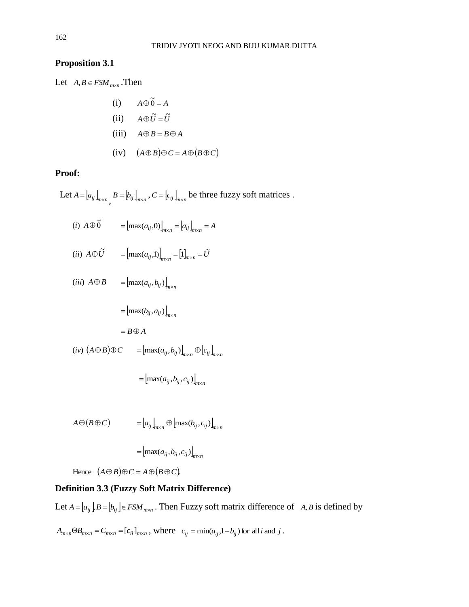# **Proposition 3.1**

Let  $A, B \in FSM_{m \times n}$ . Then

(i) 
$$
A \oplus \widetilde{0} = A
$$
  
\n(ii)  $A \oplus \widetilde{U} = \widetilde{U}$   
\n(iii)  $A \oplus B = B \oplus A$   
\n(iv)  $(A \oplus B) \oplus C = A \oplus (B \oplus C)$ 

### **Proof:**

Let  $A = [a_{ij}]_{m \times n}$ ,  $B = [b_{ij}]_{m \times n}$ ,  $C = [c_{ij}]_{m \times n}$  be three fuzzy soft matrices .

(*i*)  $A \oplus \widetilde{0} = [\max(a_{ij}, 0)]_{m \times n} = [a_{ij}]_{m \times n} = A$  $(iii)$   $A \oplus \tilde{U}$   $=$   $\left[\max(a_{ij},1)\right]_{m \times n}$   $=$   $\left[1\right]_{m \times n}$   $= \tilde{U}$  $=[\max(a_{ij},1)]_{m\times n}=[1]_{m\times n}=\widetilde{U}$  $(iii)$   $A \oplus B$   $=$   $\left[\max(a_{ij}, b_{ij})\right]_{m \times n}$  $=\left[\max(b_{ij}, a_{ij})\right]_{m \times n}$  $= B \oplus A$  $(iv)$   $(A \oplus B) \oplus C$   $=$   $\left[ \max(a_{ij}, b_{ij}) \right]_{m \times n} \oplus \left[ c_{ij} \right]_{m \times n}$  $=\left[\max(a_{ij}, b_{ij}, c_{ij})\right]_{m \times n}$ 

$$
A \oplus (B \oplus C) = [a_{ij}]_{m \times n} \oplus [max(b_{ij}, c_{ij})]_{m \times n}
$$

$$
= [max(a_{ij}, b_{ij}, c_{ij})]_{m \times n}
$$

Hence  $(A \oplus B) \oplus C = A \oplus (B \oplus C)$ .

# **Definition 3.3 (Fuzzy Soft Matrix Difference)**

Let  $A = [a_{ij}]$   $B = [b_{ij}] \in FSM$  *m*<sub>*m* $x$ </sub>, Then Fuzzy soft matrix difference of  $A, B$  is defined by

 $A_{m \times n} \Theta B_{m \times n} = C_{m \times n} = [c_{ij}]_{m \times n}$ , where  $c_{ij} = \min(a_{ij}, 1 - b_{ij})$  for all *i* and *j*.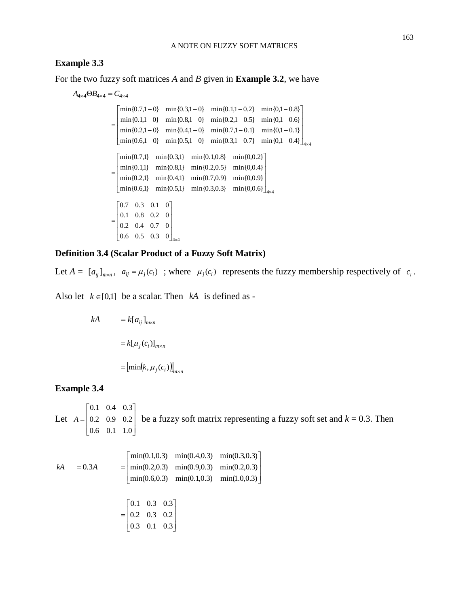#### **Example 3.3**

For the two fuzzy soft matrices *A* and *B* given in **Example 3.2**, we have

 $A_{4\times 4} \Theta B_{4\times 4} = C_{4\times 4}$  $\min\{0.6, 1 - 0\}$   $\min\{0.5, 1 - 0\}$   $\min\{0.3, 1 - 0.7\}$   $\min\{0.1 - 0.4\}$  $\left| \min\{0.2, 1-0\} \right| \min\{0.4, 1-0\} \min\{0.7, 1-0.1\} \min\{0.1-0.1\}$ min ${0.1,1-0}$  min ${0.8,1-0}$  min ${0.2,1-0.5}$  min ${0.1-0.6}$  $\begin{array}{|l} \min{0.7,1-0} \quad \min{0.3,1-0} \quad \min{0.1,1-0.2} \quad \min{0.1-0.8} \end{array}$  $\overline{\phantom{a}}$  $\overline{\phantom{a}}$  $\frac{1}{2}$ L L − − − − =  $\lfloor \min\{0.6, 1-0\} \right.$   $\min\{0.5, 1-0\}$   $\min\{0.3, 1-0.7\}$   $\min\{0.1 \min\{0.6,1\}$   $\min\{0.5,1\}$   $\min\{0.3,0.3\}$   $\min\{0,0.6\}$ min{0.2,1} min{0.4,1} min{0.7,0.9} min{0,0.9} min{0.1,1} min{0.8,1} min{0.2,0.5} min{0,0.4}  $\left|\min\{0.7,1\} \quad \min\{0.3,1\} \quad \min\{0.1,0.8\} \quad \min\{0,0.2\} \right|$  $\mathsf{\times}$ J  $\overline{\phantom{a}}$  $\overline{\phantom{a}}$  $\overline{\phantom{a}}$  $\perp$ Į Į Į Į L =  $0.6$   $0.5$   $0.3$   $0$   $\big]_{4 \times 4}$ 0.2 0.4 0.7 0 0.1 0.8 0.2 0  $\begin{vmatrix} 0.7 & 0.3 & 0.1 & 0 \end{vmatrix}$  $\times$ J I Ι J  $\Box$ ļ | | | L =

### **Definition 3.4 (Scalar Product of a Fuzzy Soft Matrix)**

Let  $A = [a_{ij}]_{m \times n}$ ,  $a_{ij} = \mu_j(c_i)$ ; where  $\mu_j(c_i)$  represents the fuzzy membership respectively of  $c_i$ .

Also let  $k \in [0,1]$  be a scalar. Then  $kA$  is defined as -

$$
kA = k[a_{ij}]_{m \times n}
$$

$$
= k[\mu_j(c_i)]_{m \times n}
$$

$$
= [\min(k, \mu_j(c_i))]_{m \times n}
$$

### **Example 3.4**

Let  $A = \begin{bmatrix} 0.2 & 0.9 & 0.2 \end{bmatrix}$  $\begin{bmatrix} 0.6 & 0.1 & 1.0 \end{bmatrix}$  $\overline{\phantom{a}}$  $\begin{vmatrix} 0.1 & 0.4 & 0.3 \end{vmatrix}$  $\mathbf{r}$  $A = \begin{bmatrix} 0.2 & 0.9 & 0.2 \end{bmatrix}$  be a fuzzy soft matrix representing a fuzzy soft set and  $k = 0.3$ . Then

$$
kA = 0.3A = \begin{bmatrix} \min(0.1, 0.3) & \min(0.4, 0.3) & \min(0.3, 0.3) \\ \min(0.2, 0.3) & \min(0.9, 0.3) & \min(0.2, 0.3) \\ \min(0.6, 0.3) & \min(0.1, 0.3) & \min(1.0, 0.3) \end{bmatrix}
$$

$$
= \begin{bmatrix} 0.1 & 0.3 & 0.3 \\ 0.2 & 0.3 & 0.2 \end{bmatrix}
$$

$$
\begin{bmatrix} 0.2 & 0.3 & 0.2 \\ 0.3 & 0.1 & 0.3 \end{bmatrix}
$$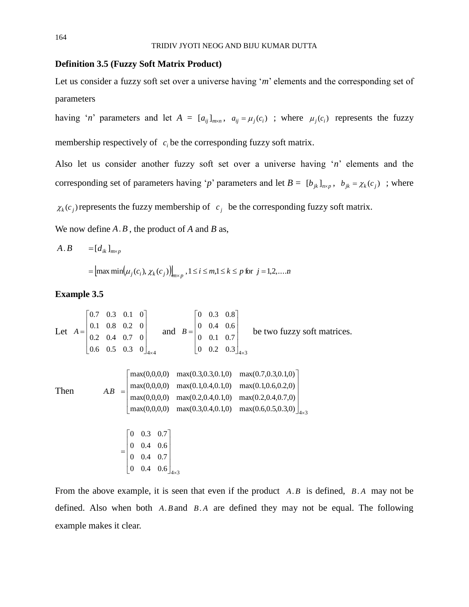# **Definition 3.5 (Fuzzy Soft Matrix Product)**

Let us consider a fuzzy soft set over a universe having '*m*' elements and the corresponding set of parameters

having '*n*' parameters and let  $A = [a_{ij}]_{m \times n}$ ,  $a_{ij} = \mu_j(c_i)$ ; where  $\mu_j(c_i)$  represents the fuzzy membership respectively of  $c_i$  be the corresponding fuzzy soft matrix.

Also let us consider another fuzzy soft set over a universe having '*n*' elements and the corresponding set of parameters having '*p*' parameters and let  $B = [b_{jk}]_{n \times p}$ ,  $b_{jk} = \chi_k(c_j)$ ; where

 $\chi_k(c_j)$  represents the fuzzy membership of  $c_j$  be the corresponding fuzzy soft matrix.

We now define *A*.*B* , the product of *A* and *B* as,

$$
A.B = [d_{ik}]_{m \times p}
$$
  
=  $[\max \min(\mu_j(c_i), \chi_k(c_j))]_{m \times p}$ ,  $1 \le i \le m, 1 \le k \le p$  for  $j = 1, 2, ... n$ 

# **Example 3.5**

Let 
$$
A = \begin{bmatrix} 0.7 & 0.3 & 0.1 & 0 \\ 0.1 & 0.8 & 0.2 & 0 \\ 0.2 & 0.4 & 0.7 & 0 \\ 0.6 & 0.5 & 0.3 & 0 \end{bmatrix}_{4\times4}
$$
 and  $B = \begin{bmatrix} 0 & 0.3 & 0.8 \\ 0 & 0.4 & 0.6 \\ 0 & 0.1 & 0.7 \\ 0 & 0.2 & 0.3 \end{bmatrix}_{4\times3}$  be two fuzzy soft matrices.  
\nThen  
\n
$$
AB = \begin{bmatrix} \max(0,0,0,0) & \max(0.3,0.3,0.1,0) & \max(0.7,0.3,0.1,0) \\ \max(0,0,0,0) & \max(0.1,0.4,0.1,0) & \max(0.1,0.6,0.2,0) \\ \max(0,0,0,0) & \max(0.2,0.4,0.1,0) & \max(0.2,0.4,0.7,0) \\ \max(0,0,0,0) & \max(0.3,0.4,0.1,0) & \max(0.6,0.5,0.3,0) \end{bmatrix}_{4\times3}
$$

From the above example, it is seen that even if the product  $A.B$  is defined,  $B.A$  may not be defined. Also when both A.B and B.A are defined they may not be equal. The following example makes it clear.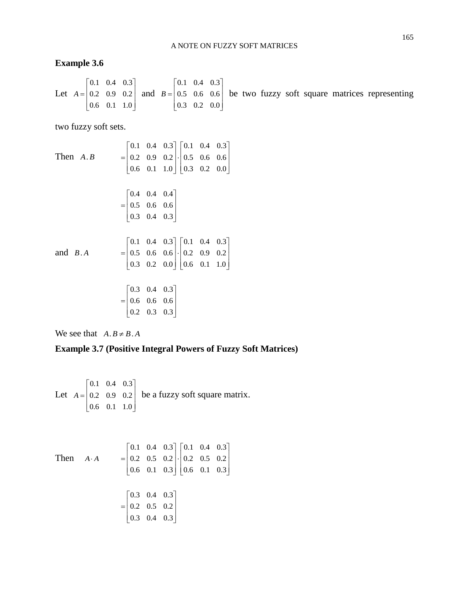### **Example 3.6**

Let 
$$
A = \begin{bmatrix} 0.1 & 0.4 & 0.3 \\ 0.2 & 0.9 & 0.2 \\ 0.6 & 0.1 & 1.0 \end{bmatrix}
$$
 and  $B = \begin{bmatrix} 0.1 & 0.4 & 0.3 \\ 0.5 & 0.6 & 0.6 \\ 0.3 & 0.2 & 0.0 \end{bmatrix}$  be two fuzzy soft square matrices representing

two fuzzy soft sets.

Then *A*. *B*  $\begin{bmatrix} 0.6 & 0.1 & 1.0 \end{bmatrix} \begin{bmatrix} 0.3 & 0.2 & 0.0 \end{bmatrix}$  $\overline{\phantom{a}}$  $\begin{array}{|c|c|c|c|c|c|c|c|} \hline 0.1 & 0.4 & 0.3 \end{array}$ Į  $\left| \cdot \right|$  $\overline{\phantom{a}}$ Į  $= 0.2 \quad 0.9 \quad 0.2 \cdot 0.5 \quad 0.6 \quad 0.6$  $\begin{bmatrix} 0.3 & 0.4 & 0.3 \end{bmatrix}$ I  $\begin{vmatrix} 0.4 & 0.4 & 0.4 \end{vmatrix}$  $\mathbf{r}$  $= 0.5 \quad 0.6 \quad 0.6$ and *B*. *A*  $\begin{bmatrix} 0.3 & 0.2 & 0.0 \end{bmatrix} \begin{bmatrix} 0.6 & 0.1 & 1.0 \end{bmatrix}$ 1 J  $\begin{array}{|c|c|c|c|c|c|c|c|} \hline 0.1 & 0.4 & 0.3 \end{array}$  $\overline{\phantom{a}}$  $\left| . \right|$  $\overline{\phantom{a}}$ I  $= 0.5 \quad 0.6 \quad 0.6 \cdot \begin{vmatrix} . & 0 & 0 & 0 \\ 0 & 0 & 0 & 0 & 0 \\ 0 & 0 & 0 & 0 & 0 & 0 \\ 0 & 0 & 0 & 0 & 0 & 0 \\ 0 & 0 & 0 & 0 & 0 & 0 \\ 0 & 0 & 0 & 0 & 0 & 0 \\ 0 & 0 & 0 & 0 & 0 & 0 \\ 0 & 0 & 0 & 0 & 0 & 0 \\ 0 & 0 & 0 & 0 & 0 & 0 \\ 0 & 0 & 0 & 0 & 0 & 0 \\ 0 & 0 & 0 & 0 & 0 & 0 & 0 \\ 0 &$  $\begin{bmatrix} 0.2 & 0.3 & 0.3 \end{bmatrix}$  $\begin{array}{c} \hline \end{array}$  $\overline{\phantom{a}}$  $\begin{vmatrix} 0.3 & 0.4 & 0.3 \end{vmatrix}$ Į  $= 0.6 \quad 0.6 \quad 0.6$ 

We see that  $A \cdot B \neq B \cdot A$ 

# **Example 3.7 (Positive Integral Powers of Fuzzy Soft Matrices)**

Let  $A = \begin{bmatrix} 0.2 & 0.9 & 0.2 \end{bmatrix}$  $\begin{bmatrix} 0.6 & 0.1 & 1.0 \end{bmatrix}$  $\overline{\phantom{a}}$  $\begin{vmatrix} 0.1 & 0.4 & 0.3 \end{vmatrix}$  $\mathbf{r}$  $A = \begin{vmatrix} 0.2 & 0.9 & 0.2 \end{vmatrix}$  be a fuzzy soft square matrix.

Then 
$$
A \cdot A = \begin{bmatrix} 0.1 & 0.4 & 0.3 \\ 0.2 & 0.5 & 0.2 \\ 0.6 & 0.1 & 0.3 \end{bmatrix} \cdot \begin{bmatrix} 0.1 & 0.4 & 0.3 \\ 0.2 & 0.5 & 0.2 \\ 0.6 & 0.1 & 0.3 \end{bmatrix}
$$
  
= 
$$
\begin{bmatrix} 0.3 & 0.4 & 0.3 \\ 0.2 & 0.5 & 0.2 \\ 0.3 & 0.4 & 0.3 \end{bmatrix}
$$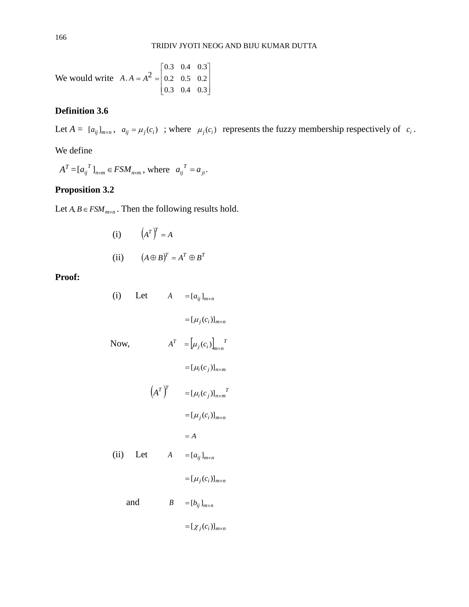We would write  $A \cdot A = A^2$  $\overline{\phantom{a}}$  $\overline{\phantom{a}}$  $\overline{\phantom{a}}$  $\overline{a}$  $\overline{\phantom{a}}$  $\mathsf{I}$  $\begin{array}{c} \end{array}$  $\begin{array}{c} \end{array}$ L Į = 0.3 0.4 0.3 0.2 0.5 0.2 0.3 0.4 0.3

# **Definition 3.6**

Let  $A = [a_{ij}]_{m \times n}$ ,  $a_{ij} = \mu_j(c_i)$ ; where  $\mu_j(c_i)$  represents the fuzzy membership respectively of  $c_i$ .

We define

 $A^T = [a_{ij}^T]_{n \times m} \in FSM_{n \times m}$ , where  $a_{ij}^T = a_{ji}$ .  $a_{ij}^T = a$ 

# **Proposition 3.2**

Let  $A, B \in FSM_{m \times n}$ . Then the following results hold.

(i) 
$$
(A^T)^T = A
$$
  
\n(ii)  $(A \oplus B)^T = A^T \oplus B^T$ 

**Proof:**

(i) Let 
$$
A = [a_{ij}]_{m \times n}
$$
  
\n
$$
= [\mu_j(c_i)]_{m \times n}
$$
\nNow,  
\n
$$
A^T = [\mu_j(c_i)]_{m \times n}
$$
\n
$$
= [\mu_i(c_j)]_{n \times m}
$$
\n
$$
(A^T)^T = [\mu_i(c_j)]_{n \times m}
$$
\n
$$
= [A_i(c_i)]_{m \times n}
$$
\n
$$
= A
$$
\n(ii) Let  $A = [a_{ij}]_{m \times n}$   
\n
$$
= [\mu_j(c_i)]_{m \times n}
$$
  
\nand  
\n $B = [b_{ij}]_{m \times n}$   
\n
$$
= [\chi_j(c_i)]_{m \times n}
$$
  
\n
$$
= [\chi_j(c_i)]_{m \times n}
$$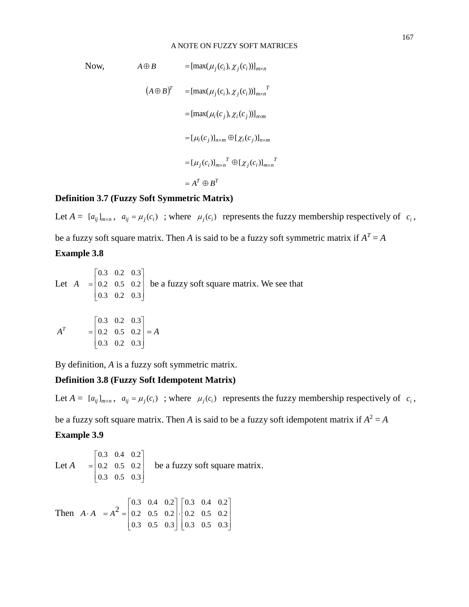#### A NOTE ON FUZZY SOFT MATRICES

Now,  
\n
$$
A \oplus B = [\max(\mu_j(c_i), \chi_j(c_i))]_{m \times n}
$$
\n
$$
(A \oplus B)^T = [\max(\mu_j(c_i), \chi_j(c_i))]_{m \times n}^T
$$
\n
$$
= [\max(\mu_i(c_j), \chi_i(c_j))]_{m \times m}
$$
\n
$$
= [\mu_i(c_j)]_{n \times m} \oplus [\chi_i(c_j)]_{m \times n}
$$
\n
$$
= [\mu_j(c_i)]_{m \times n}^T \oplus [\chi_j(c_i)]_{m \times n}^T
$$
\n
$$
= A^T \oplus B^T
$$

### **Definition 3.7 (Fuzzy Soft Symmetric Matrix)**

Let  $A = [a_{ij}]_{m \times n}$ ,  $a_{ij} = \mu_j(c_i)$ ; where  $\mu_j(c_i)$  represents the fuzzy membership respectively of  $c_i$ , be a fuzzy soft square matrix. Then *A* is said to be a fuzzy soft symmetric matrix if  $A<sup>T</sup> = A$ **Example 3.8**

Let *A*  $\overline{\phantom{a}}$  $\overline{\phantom{a}}$  $\overline{\phantom{a}}$  $\frac{1}{2}$  $\overline{\phantom{a}}$  $\mathsf{I}$  $\mathbf{r}$  $\mathbf{r}$ L  $\mathbf{r}$ = 0.3 0.2 0.3 0.2 0.5 0.2 0.3 0.2 0.3 be a fuzzy soft square matrix. We see that  $A^T$  $\overline{\phantom{a}}$  $\overline{\phantom{a}}$  $\overline{\phantom{a}}$  $\frac{1}{2}$  $\overline{\phantom{a}}$  $\mathsf{I}$  $\mathbb{I}$  $\mathbb{I}$ L  $\mathbf{r}$ = 0.3 0.2 0.3 0.2 0.5 0.2 0.3 0.2 0.3 = *A*

By definition, *A* is a fuzzy soft symmetric matrix.

# **Definition 3.8 (Fuzzy Soft Idempotent Matrix)**

Let  $A = [a_{ij}]_{m \times n}$ ,  $a_{ij} = \mu_j(c_i)$ ; where  $\mu_j(c_i)$  represents the fuzzy membership respectively of  $c_i$ ,

be a fuzzy soft square matrix. Then *A* is said to be a fuzzy soft idempotent matrix if  $A^2 = A$ 

### **Example 3.9**

Let *A*  $\overline{\phantom{a}}$  $\overline{\phantom{a}}$  $\overline{\phantom{a}}$  $\frac{1}{2}$  $\overline{\phantom{a}}$  $\mathsf{I}$  $\mathbf{r}$  $\mathbb{I}$ L  $\mathbf{r}$ = 0.3 0.5 0.3 0.2 0.5 0.2 0.3 0.4 0.2 be a fuzzy soft square matrix. Then  $A \cdot A = A^2$  $\overline{\phantom{a}}$ 1  $\overline{\phantom{a}}$  $\frac{1}{2}$ J  $\mathsf{I}$  $\mathsf{I}$  $\mathsf{I}$ L  $\mathsf{I}$ .  $\overline{\phantom{a}}$  $\overline{\phantom{a}}$  $\overline{\phantom{a}}$  $\frac{1}{2}$  $\overline{\phantom{a}}$ L I L L  $\mathbf{r}$ = 0.3 0.5 0.3 0.2 0.5 0.2 0.3 0.4 0.2 0.3 0.5 0.3 0.2 0.5 0.2 0.3 0.4 0.2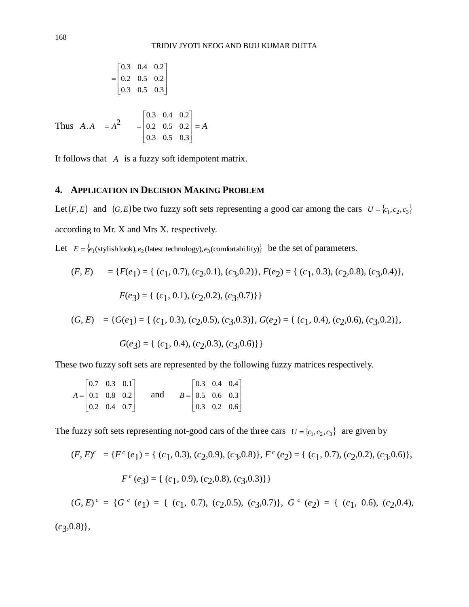$$
= \begin{bmatrix} 0.3 & 0.4 & 0.2 \\ 0.2 & 0.5 & 0.2 \\ 0.3 & 0.5 & 0.3 \end{bmatrix}
$$

Thus  $A.A = A^2$  $\overline{\phantom{a}}$  $\overline{\phantom{a}}$  $\overline{\phantom{a}}$  $\frac{1}{2}$  $\overline{\phantom{a}}$ L Į I L Į = 0.3 0.5 0.3 0.2 0.5 0.2 0.3 0.4 0.2 = *A*

It follows that *A* is a fuzzy soft idempotent matrix.

# **4. APPLICATION IN DECISION MAKING PROBLEM**

Let  $(F, E)$  and  $(G, E)$  be two fuzzy soft sets representing a good car among the cars  $U = \{c_1, c_2, c_3\}$ according to Mr. X and Mrs X. respectively.

Let  $E = \{e_1(\text{stylishlook}), e_2(\text{lates the schoology}), e_3(\text{comfortabi lity})\}$  be the set of parameters.

$$
(F, E) = \{F(e_1) = \{ (c_1, 0.7), (c_2, 0.1), (c_3, 0.2) \}, F(e_2) = \{ (c_1, 0.3), (c_2, 0.8), (c_3, 0.4) \},
$$

$$
F(e_3) = \{ (c_1, 0.1), (c_2, 0.2), (c_3, 0.7) \} \}
$$

$$
(G, E) = \{G(e_1) = \{ (c_1, 0.3), (c_2, 0.5), (c_3, 0.3) \}, G(e_2) = \{ (c_1, 0.4), (c_2, 0.6), (c_3, 0.2) \},
$$

$$
G(e_3) = \{ (c_1, 0.4), (c_2, 0.3), (c_3, 0.6) \}
$$

These two fuzzy soft sets are represented by the following fuzzy matrices respectively.

|  | $\begin{bmatrix} 0.7 & 0.3 & 0.1 \end{bmatrix}$ |     |  | $\begin{bmatrix} 0.3 & 0.4 & 0.4 \end{bmatrix}$ |  |
|--|-------------------------------------------------|-----|--|-------------------------------------------------|--|
|  | $A =   0.1 \t0.8 \t0.2  $                       | and |  | $B =   0.5 \t0.6 \t0.3  $                       |  |
|  | $\begin{vmatrix} 0.2 & 0.4 & 0.7 \end{vmatrix}$ |     |  | $\begin{vmatrix} 0.3 & 0.2 & 0.6 \end{vmatrix}$ |  |

The fuzzy soft sets representing not-good cars of the three cars  $U = \{c_1, c_2, c_3\}$  are given by

$$
(F, E)^c = \{ F^c(e_1) = \{ (c_1, 0.3), (c_2, 0.9), (c_3, 0.8) \}, F^c(e_2) = \{ (c_1, 0.7), (c_2, 0.2), (c_3, 0.6) \},
$$

$$
F^c(e_3) = \{ (c_1, 0.9), (c_2, 0.8), (c_3, 0.3) \} \}
$$

$$
(G, E)^c = \{G^c \ (e_1) = \{ (c_1, 0.7), (c_2, 0.5), (c_3, 0.7) \}, G^c \ (e_2) = \{ (c_1, 0.6), (c_2, 0.4), (c_3, 0.7) \}
$$

(*c*3 ,0.8)},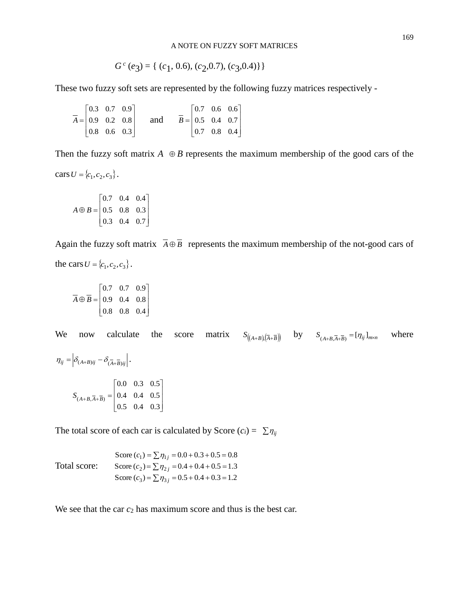#### A NOTE ON FUZZY SOFT MATRICES

$$
G^{c}(e_3) = \{ (c_1, 0.6), (c_2, 0.7), (c_3, 0.4) \} \}
$$

These two fuzzy soft sets are represented by the following fuzzy matrices respectively -

|  | $\begin{bmatrix} 0.3 & 0.7 & 0.9 \end{bmatrix}$ |     |  | $\begin{bmatrix} 0.7 & 0.6 & 0.6 \end{bmatrix}$ |  |
|--|-------------------------------------------------|-----|--|-------------------------------------------------|--|
|  | $\overline{A} =   0.9 \quad 0.2 \quad 0.8  $    | and |  | $\overline{B} =   0.5 \quad 0.4 \quad 0.7  $    |  |
|  | $\begin{vmatrix} 0.8 & 0.6 & 0.3 \end{vmatrix}$ |     |  | $\begin{vmatrix} 0.7 & 0.8 & 0.4 \end{vmatrix}$ |  |

Then the fuzzy soft matrix  $A \oplus B$  represents the maximum membership of the good cars of the

 $\text{cars } U = \{c_1, c_2, c_3\}.$ 

$$
A \oplus B = \begin{bmatrix} 0.7 & 0.4 & 0.4 \\ 0.5 & 0.8 & 0.3 \\ 0.3 & 0.4 & 0.7 \end{bmatrix}
$$

Again the fuzzy soft matrix  $A \oplus B$  represents the maximum membership of the not-good cars of the cars  $U = \{c_1, c_2, c_3\}.$ 

$$
\overline{A} \oplus \overline{B} = \begin{bmatrix} 0.7 & 0.7 & 0.9 \\ 0.9 & 0.4 & 0.8 \\ 0.8 & 0.8 & 0.4 \end{bmatrix}
$$

We now calculate the score matrix  $S_{((A+B),(\overline{A}+\overline{B}))}$  by  $S_{(A+B,\overline{A}+\overline{B})} = [\eta_{ij}]_{m \times n}$ where  $\eta_{ij} = \left| \delta_{(A+B)ij} - \delta_{(\overline{A} + \overline{B})ij} \right|.$  $\overline{\phantom{a}}$  $\overline{\phantom{a}}$  $\overline{\phantom{a}}$  $\frac{1}{2}$  $\overline{\phantom{a}}$  $\mathsf{I}$  $\mathsf{I}$  $\mathsf{I}$ L L  $+ B, \overline{A} + \overline{B}$  = 0.5 0.4 0.3 0.4 0.4 0.5 0.0 0.3 0.5  $S_{(A+B,\overline{A}+\overline{B})}$ 

The total score of each car is calculated by Score  $(c_i) = \sum_i \eta_{ij}$ 

Total score: Score  $(c_3) = \sum \eta_{3j} = 0.5 + 0.4 + 0.3 = 1.2$ Score  $(c_2)$  =  $\sum \eta_{2j}$  = 0.4 + 0.4 + 0.5 = 1.3 Score  $(c_1) = \sum \eta_{1j} = 0.0 + 0.3 + 0.5 = 0.8$ 

We see that the car  $c_2$  has maximum score and thus is the best car.